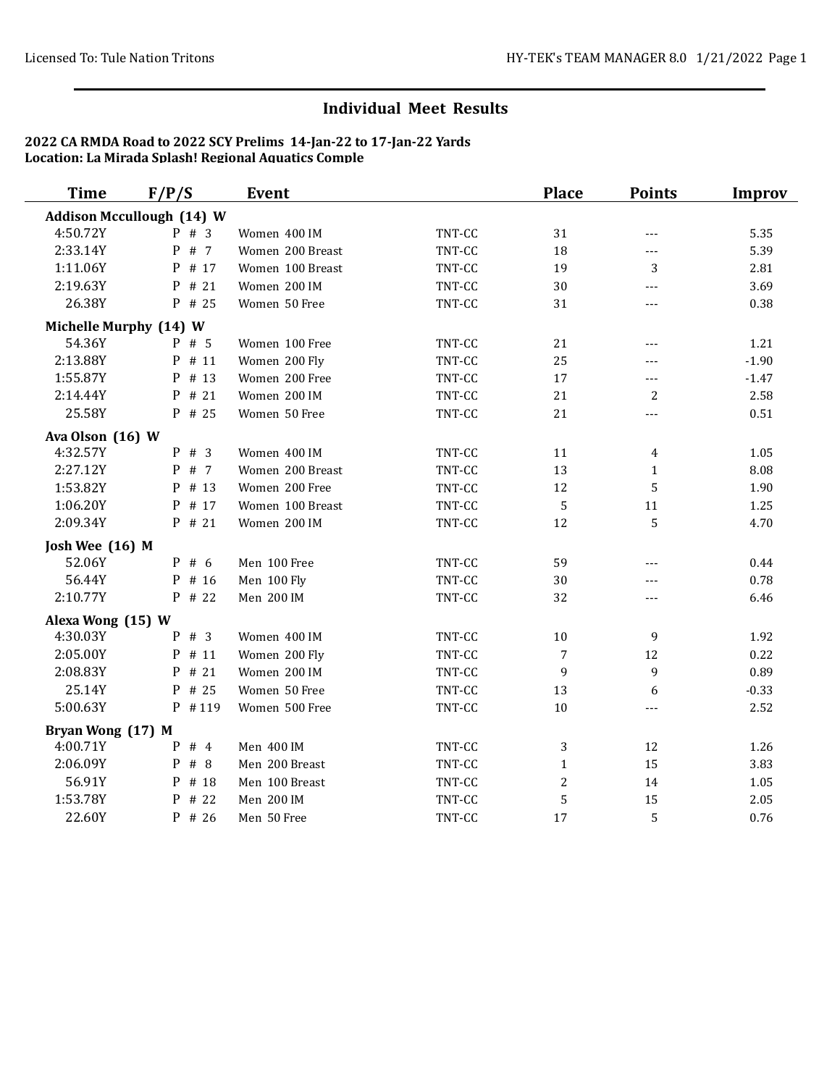## **Individual Meet Results**

## **2022 CA RMDA Road to 2022 SCY Prelims 14-Jan-22 to 17-Jan-22 Yards Location: La Mirada Splash! Regional Aquatics Comple**

| <b>Time</b>            | F/P/S                            | Event            |        | <b>Place</b>   | <b>Points</b> | <b>Improv</b> |
|------------------------|----------------------------------|------------------|--------|----------------|---------------|---------------|
|                        | <b>Addison Mccullough (14) W</b> |                  |        |                |               |               |
| 4:50.72Y               | $P$ # 3                          | Women 400 IM     | TNT-CC | 31             | $---$         | 5.35          |
| 2:33.14Y               | # 7<br>$\mathbf{P}$              | Women 200 Breast | TNT-CC | 18             | ---           | 5.39          |
| 1:11.06Y               | P # 17                           | Women 100 Breast | TNT-CC | 19             | 3             | 2.81          |
| 2:19.63Y               | # 21<br>P                        | Women 200 IM     | TNT-CC | 30             | $---$         | 3.69          |
| 26.38Y                 | $P$ # 25                         | Women 50 Free    | TNT-CC | 31             | $---$         | 0.38          |
| Michelle Murphy (14) W |                                  |                  |        |                |               |               |
| 54.36Y                 | $P$ # 5                          | Women 100 Free   | TNT-CC | 21             | ---           | 1.21          |
| 2:13.88Y               | P # 11                           | Women 200 Fly    | TNT-CC | 25             | ---           | $-1.90$       |
| 1:55.87Y               | P # 13                           | Women 200 Free   | TNT-CC | 17             | $---$         | $-1.47$       |
| 2:14.44Y               | P # 21                           | Women 200 IM     | TNT-CC | 21             | 2             | 2.58          |
| 25.58Y                 | P # 25                           | Women 50 Free    | TNT-CC | 21             | $---$         | 0.51          |
| Ava Olson (16) W       |                                  |                  |        |                |               |               |
| 4:32.57Y               | $P$ # 3                          | Women 400 IM     | TNT-CC | 11             | 4             | 1.05          |
| 2:27.12Y               | $P$ # 7                          | Women 200 Breast | TNT-CC | 13             | $\mathbf{1}$  | 8.08          |
| 1:53.82Y               | P # 13                           | Women 200 Free   | TNT-CC | 12             | 5             | 1.90          |
| 1:06.20Y               | P # 17                           | Women 100 Breast | TNT-CC | 5              | 11            | 1.25          |
| 2:09.34Y               | $P$ # 21                         | Women 200 IM     | TNT-CC | 12             | 5             | 4.70          |
| Josh Wee (16) M        |                                  |                  |        |                |               |               |
| 52.06Y                 | $P$ # 6                          | Men 100 Free     | TNT-CC | 59             | $---$         | 0.44          |
| 56.44Y                 | P # 16                           | Men 100 Fly      | TNT-CC | 30             | $---$         | 0.78          |
| 2:10.77Y               | $P$ # 22                         | Men 200 IM       | TNT-CC | 32             | $---$         | 6.46          |
| Alexa Wong (15) W      |                                  |                  |        |                |               |               |
| 4:30.03Y               | $P$ # 3                          | Women 400 IM     | TNT-CC | 10             | 9             | 1.92          |
| 2:05.00Y               | #11<br>P                         | Women 200 Fly    | TNT-CC | $\overline{7}$ | 12            | 0.22          |
| 2:08.83Y               | P # 21                           | Women 200 IM     | TNT-CC | 9              | 9             | 0.89          |
| 25.14Y                 | $P$ # 25                         | Women 50 Free    | TNT-CC | 13             | 6             | $-0.33$       |
| 5:00.63Y               | P #119                           | Women 500 Free   | TNT-CC | 10             | $---$         | 2.52          |
| Bryan Wong (17) M      |                                  |                  |        |                |               |               |
| 4:00.71Y               | $P$ # 4                          | Men 400 IM       | TNT-CC | 3              | 12            | 1.26          |
| 2:06.09Y               | #8<br>$\mathbf{P}$               | Men 200 Breast   | TNT-CC | $\mathbf{1}$   | 15            | 3.83          |
| 56.91Y                 | # 18<br>P                        | Men 100 Breast   | TNT-CC | $\overline{c}$ | 14            | 1.05          |
| 1:53.78Y               | $\, {\bf p}$<br># 22             | Men 200 IM       | TNT-CC | 5              | 15            | 2.05          |
| 22.60Y                 | $P$ # 26                         | Men 50 Free      | TNT-CC | 17             | 5             | 0.76          |